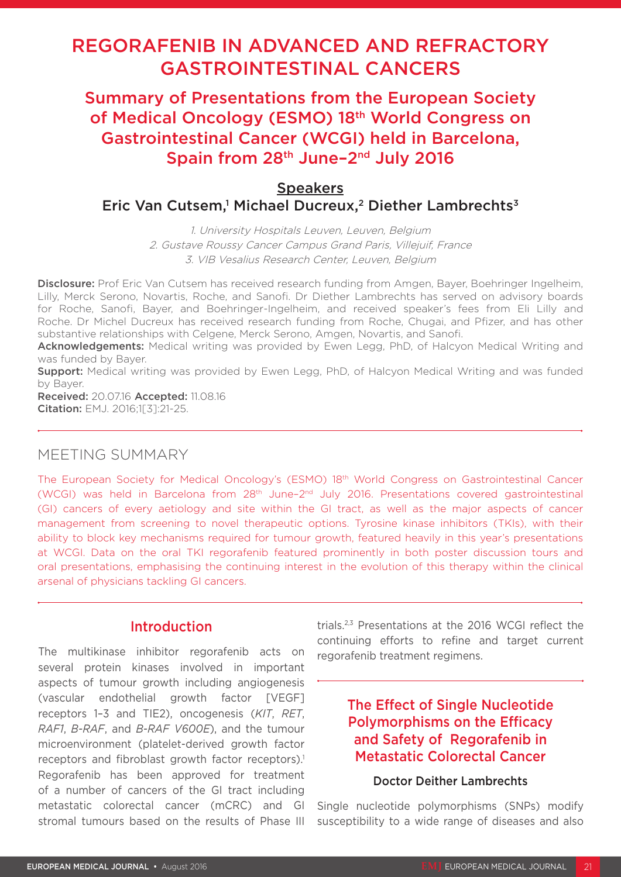# REGORAFENIB IN ADVANCED AND REFRACTORY GASTROINTESTINAL CANCERS

Summary of Presentations from the European Society of Medical Oncology (ESMO) 18th World Congress on Gastrointestinal Cancer (WCGI) held in Barcelona, Spain from 28<sup>th</sup> June-2<sup>nd</sup> July 2016

## **Speakers** Eric Van Cutsem,<sup>1</sup> Michael Ducreux,<sup>2</sup> Diether Lambrechts<sup>3</sup>

1. University Hospitals Leuven, Leuven, Belgium 2. Gustave Roussy Cancer Campus Grand Paris, Villejuif, France 3. VIB Vesalius Research Center, Leuven, Belgium

Disclosure: Prof Eric Van Cutsem has received research funding from Amgen, Bayer, Boehringer Ingelheim, Lilly, Merck Serono, Novartis, Roche, and Sanofi. Dr Diether Lambrechts has served on advisory boards for Roche, Sanofi, Bayer, and Boehringer-Ingelheim, and received speaker's fees from Eli Lilly and Roche. Dr Michel Ducreux has received research funding from Roche, Chugai, and Pfizer, and has other substantive relationships with Celgene, Merck Serono, Amgen, Novartis, and Sanofi.

Acknowledgements: Medical writing was provided by Ewen Legg, PhD, of Halcyon Medical Writing and was funded by Bayer.

**Support:** Medical writing was provided by Ewen Legg, PhD, of Halcyon Medical Writing and was funded by Bayer.

Received: 20.07.16 Accepted: 11.08.16 Citation: EMJ. 2016;1[3]:21-25.

### MEETING SUMMARY

The European Society for Medical Oncology's (ESMO) 18th World Congress on Gastrointestinal Cancer (WCGI) was held in Barcelona from 28th June–2nd July 2016. Presentations covered gastrointestinal (GI) cancers of every aetiology and site within the GI tract, as well as the major aspects of cancer management from screening to novel therapeutic options. Tyrosine kinase inhibitors (TKIs), with their ability to block key mechanisms required for tumour growth, featured heavily in this year's presentations at WCGI. Data on the oral TKI regorafenib featured prominently in both poster discussion tours and oral presentations, emphasising the continuing interest in the evolution of this therapy within the clinical arsenal of physicians tackling GI cancers.

### Introduction

The multikinase inhibitor regorafenib acts on several protein kinases involved in important aspects of tumour growth including angiogenesis (vascular endothelial growth factor [VEGF] receptors 1–3 and TIE2), oncogenesis (*KIT*, *RET*, *RAF1*, *B-RAF*, and *B-RAF V600E*), and the tumour microenvironment (platelet-derived growth factor receptors and fibroblast growth factor receptors).<sup>1</sup> Regorafenib has been approved for treatment of a number of cancers of the GI tract including metastatic colorectal cancer (mCRC) and GI stromal tumours based on the results of Phase III

trials.2,3 Presentations at the 2016 WCGI reflect the continuing efforts to refine and target current regorafenib treatment regimens.

## The Effect of Single Nucleotide Polymorphisms on the Efficacy and Safety of Regorafenib in Metastatic Colorectal Cancer

#### Doctor Deither Lambrechts

Single nucleotide polymorphisms (SNPs) modify susceptibility to a wide range of diseases and also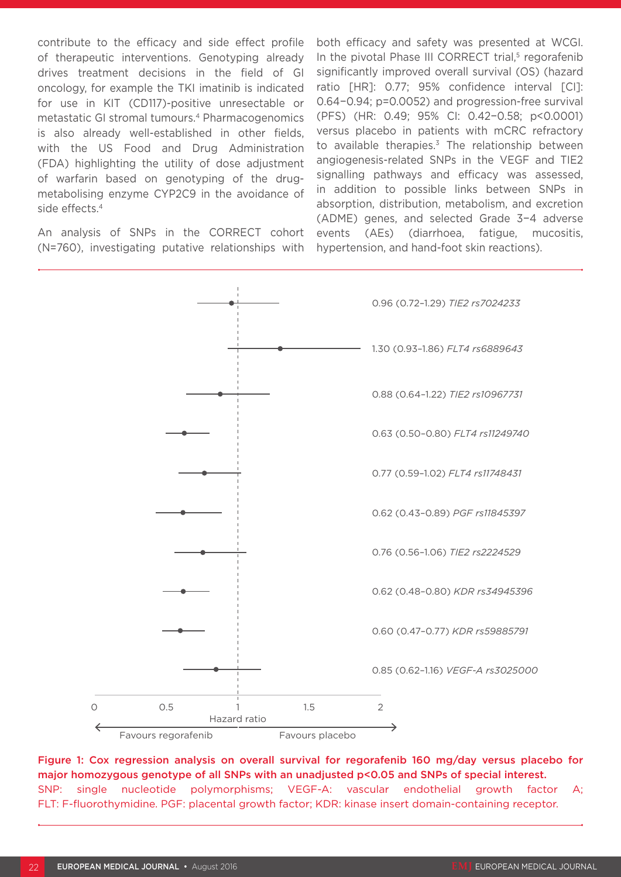contribute to the efficacy and side effect profile of therapeutic interventions. Genotyping already drives treatment decisions in the field of GI oncology, for example the TKI imatinib is indicated for use in KIT (CD117)-positive unresectable or metastatic GI stromal tumours.4 Pharmacogenomics is also already well-established in other fields, with the US Food and Drug Administration (FDA) highlighting the utility of dose adjustment of warfarin based on genotyping of the drugmetabolising enzyme CYP2C9 in the avoidance of side effects.4

An analysis of SNPs in the CORRECT cohort (N=760), investigating putative relationships with

both efficacy and safety was presented at WCGI. In the pivotal Phase III CORRECT trial, $5$  regorafenib significantly improved overall survival (OS) (hazard ratio [HR]: 0.77; 95% confidence interval [CI]: 0.64−0.94; p=0.0052) and progression-free survival (PFS) (HR: 0.49; 95% CI: 0.42−0.58; p<0.0001) versus placebo in patients with mCRC refractory to available therapies. $3$  The relationship between angiogenesis-related SNPs in the VEGF and TIE2 signalling pathways and efficacy was assessed, in addition to possible links between SNPs in absorption, distribution, metabolism, and excretion (ADME) genes, and selected Grade 3−4 adverse events (AEs) (diarrhoea, fatigue, mucositis, hypertension, and hand-foot skin reactions).



Figure 1: Cox regression analysis on overall survival for regorafenib 160 mg/day versus placebo for major homozygous genotype of all SNPs with an unadjusted p<0.05 and SNPs of special interest. SNP: single nucleotide polymorphisms; VEGF-A: vascular endothelial growth factor A; FLT: F-fluorothymidine. PGF: placental growth factor; KDR: kinase insert domain-containing receptor.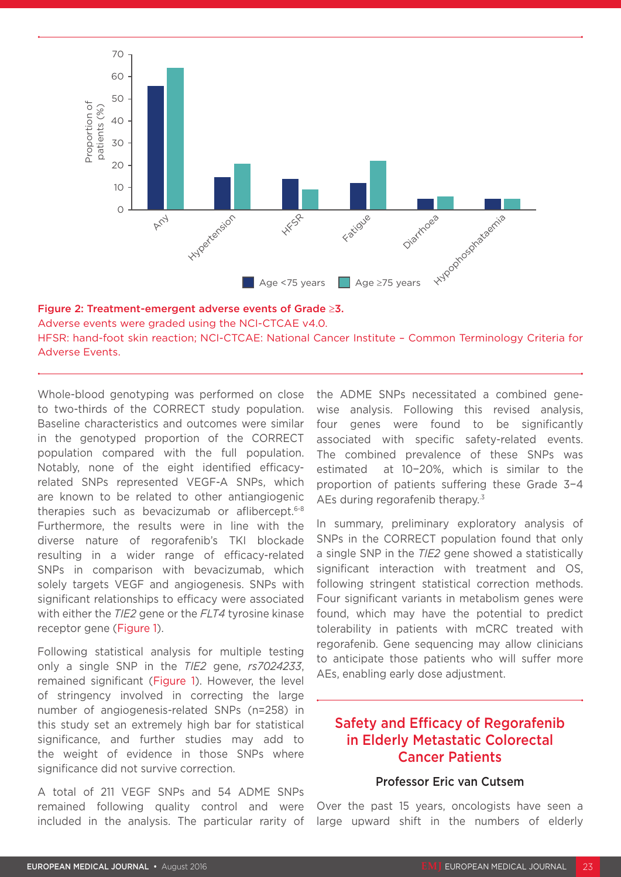



Whole-blood genotyping was performed on close to two-thirds of the CORRECT study population. Baseline characteristics and outcomes were similar in the genotyped proportion of the CORRECT population compared with the full population. Notably, none of the eight identified efficacyrelated SNPs represented VEGF-A SNPs, which are known to be related to other antiangiogenic therapies such as bevacizumab or aflibercept.6-8 Furthermore, the results were in line with the diverse nature of regorafenib's TKI blockade resulting in a wider range of efficacy-related SNPs in comparison with bevacizumab, which solely targets VEGF and angiogenesis. SNPs with significant relationships to efficacy were associated with either the *TIE2* gene or the *FLT4* tyrosine kinase receptor gene (Figure 1).

Following statistical analysis for multiple testing only a single SNP in the *TIE2* gene, *rs7024233*, remained significant (Figure 1). However, the level of stringency involved in correcting the large number of angiogenesis-related SNPs (n=258) in this study set an extremely high bar for statistical significance, and further studies may add to the weight of evidence in those SNPs where significance did not survive correction.

A total of 211 VEGF SNPs and 54 ADME SNPs remained following quality control and were included in the analysis. The particular rarity of the ADME SNPs necessitated a combined genewise analysis. Following this revised analysis, four genes were found to be significantly associated with specific safety-related events. The combined prevalence of these SNPs was estimated at 10−20%, which is similar to the proportion of patients suffering these Grade 3−4 AEs during regorafenib therapy.<sup>3</sup>

In summary, preliminary exploratory analysis of SNPs in the CORRECT population found that only a single SNP in the *TIE2* gene showed a statistically significant interaction with treatment and OS, following stringent statistical correction methods. Four significant variants in metabolism genes were found, which may have the potential to predict tolerability in patients with mCRC treated with regorafenib. Gene sequencing may allow clinicians to anticipate those patients who will suffer more AEs, enabling early dose adjustment.

### Safety and Efficacy of Regorafenib in Elderly Metastatic Colorectal Cancer Patients

#### Professor Eric van Cutsem

Over the past 15 years, oncologists have seen a large upward shift in the numbers of elderly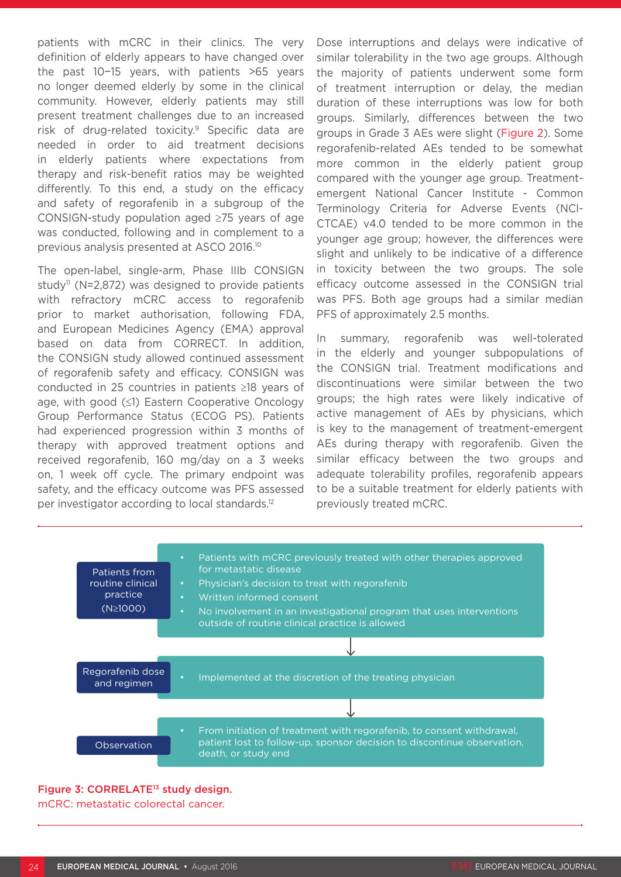patients with mCRC in their clinics. The very definition of elderly appears to have changed over the past 10−15 years, with patients >65 years no longer deemed elderly by some in the clinical community. However, elderly patients may still present treatment challenges due to an increased risk of drug-related toxicity.<sup>9</sup> Specific data are needed in order to aid treatment decisions in elderly patients where expectations from therapy and risk-benefit ratios may be weighted differently. To this end, a study on the efficacy and safety of regorafenib in a subgroup of the CONSIGN-study population aged ≥75 years of age was conducted, following and in complement to a previous analysis presented at ASCO 2016.10

The open-label, single-arm, Phase IIIb CONSIGN study<sup>11</sup> (N=2,872) was designed to provide patients with refractory mCRC access to regorafenib prior to market authorisation, following FDA, and European Medicines Agency (EMA) approval based on data from CORRECT. In addition, the CONSIGN study allowed continued assessment of regorafenib safety and efficacy. CONSIGN was conducted in 25 countries in patients ≥18 years of age, with good (≤1) Eastern Cooperative Oncology Group Performance Status (ECOG PS). Patients had experienced progression within 3 months of therapy with approved treatment options and received regorafenib, 160 mg/day on a 3 weeks on, 1 week off cycle. The primary endpoint was safety, and the efficacy outcome was PFS assessed per investigator according to local standards.12

Dose interruptions and delays were indicative of similar tolerability in the two age groups. Although the majority of patients underwent some form of treatment interruption or delay, the median duration of these interruptions was low for both groups. Similarly, differences between the two groups in Grade 3 AEs were slight (Figure 2). Some regorafenib-related AEs tended to be somewhat more common in the elderly patient group compared with the younger age group. Treatmentemergent National Cancer Institute - Common Terminology Criteria for Adverse Events (NCI-CTCAE) v4.0 tended to be more common in the younger age group; however, the differences were slight and unlikely to be indicative of a difference in toxicity between the two groups. The sole efficacy outcome assessed in the CONSIGN trial was PFS. Both age groups had a similar median PFS of approximately 2.5 months.

In summary, regorafenib was well-tolerated in the elderly and younger subpopulations of the CONSIGN trial. Treatment modifications and discontinuations were similar between the two groups; the high rates were likely indicative of active management of AEs by physicians, which is key to the management of treatment-emergent AEs during therapy with regorafenib. Given the similar efficacy between the two groups and adequate tolerability profiles, regorafenib appears to be a suitable treatment for elderly patients with previously treated mCRC.



#### Figure 3: CORRELATE<sup>13</sup> study design.

mCRC: metastatic colorectal cancer.